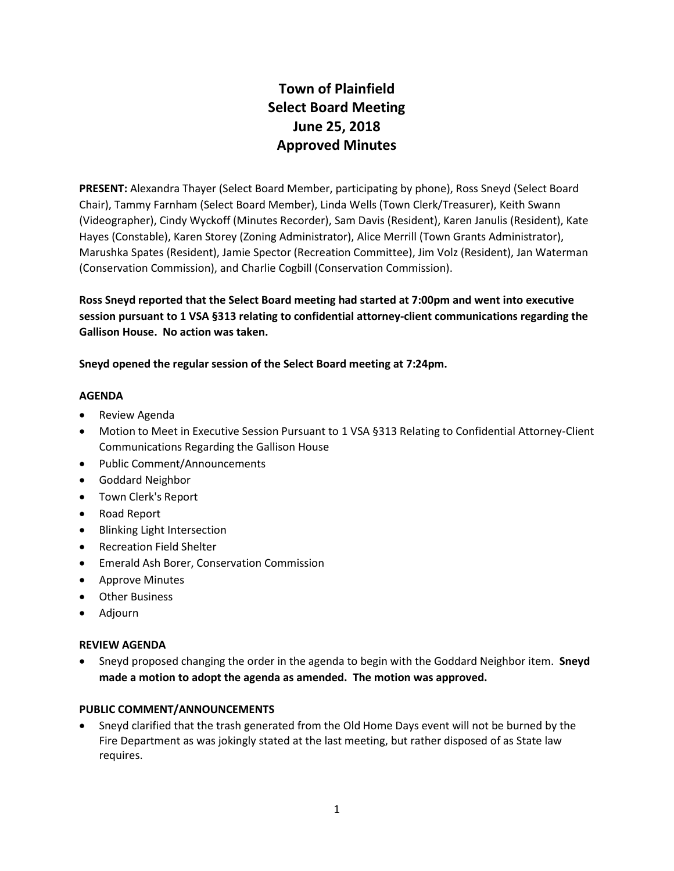# **Town of Plainfield Select Board Meeting June 25, 2018 Approved Minutes**

**PRESENT:** Alexandra Thayer (Select Board Member, participating by phone), Ross Sneyd (Select Board Chair), Tammy Farnham (Select Board Member), Linda Wells (Town Clerk/Treasurer), Keith Swann (Videographer), Cindy Wyckoff (Minutes Recorder), Sam Davis (Resident), Karen Janulis (Resident), Kate Hayes (Constable), Karen Storey (Zoning Administrator), Alice Merrill (Town Grants Administrator), Marushka Spates (Resident), Jamie Spector (Recreation Committee), Jim Volz (Resident), Jan Waterman (Conservation Commission), and Charlie Cogbill (Conservation Commission).

**Ross Sneyd reported that the Select Board meeting had started at 7:00pm and went into executive session pursuant to 1 VSA §313 relating to confidential attorney-client communications regarding the Gallison House. No action was taken.** 

**Sneyd opened the regular session of the Select Board meeting at 7:24pm.**

#### **AGENDA**

- Review Agenda
- Motion to Meet in Executive Session Pursuant to 1 VSA §313 Relating to Confidential Attorney-Client Communications Regarding the Gallison House
- Public Comment/Announcements
- Goddard Neighbor
- Town Clerk's Report
- Road Report
- Blinking Light Intersection
- **•** Recreation Field Shelter
- Emerald Ash Borer, Conservation Commission
- Approve Minutes
- Other Business
- Adjourn

#### **REVIEW AGENDA**

 Sneyd proposed changing the order in the agenda to begin with the Goddard Neighbor item. **Sneyd made a motion to adopt the agenda as amended. The motion was approved.**

#### **PUBLIC COMMENT/ANNOUNCEMENTS**

 Sneyd clarified that the trash generated from the Old Home Days event will not be burned by the Fire Department as was jokingly stated at the last meeting, but rather disposed of as State law requires.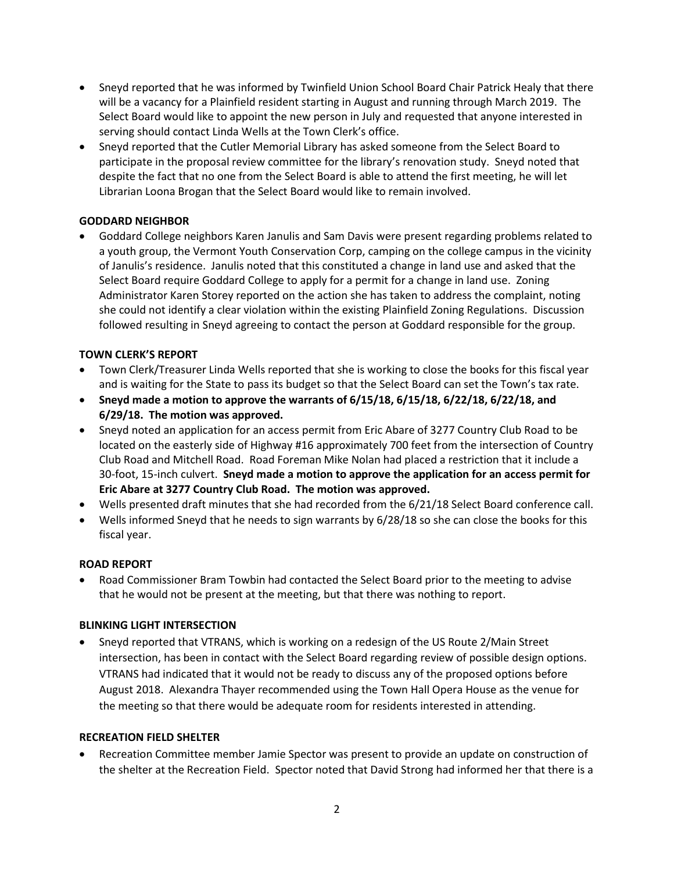- Sneyd reported that he was informed by Twinfield Union School Board Chair Patrick Healy that there will be a vacancy for a Plainfield resident starting in August and running through March 2019. The Select Board would like to appoint the new person in July and requested that anyone interested in serving should contact Linda Wells at the Town Clerk's office.
- Sneyd reported that the Cutler Memorial Library has asked someone from the Select Board to participate in the proposal review committee for the library's renovation study. Sneyd noted that despite the fact that no one from the Select Board is able to attend the first meeting, he will let Librarian Loona Brogan that the Select Board would like to remain involved.

# **GODDARD NEIGHBOR**

 Goddard College neighbors Karen Janulis and Sam Davis were present regarding problems related to a youth group, the Vermont Youth Conservation Corp, camping on the college campus in the vicinity of Janulis's residence. Janulis noted that this constituted a change in land use and asked that the Select Board require Goddard College to apply for a permit for a change in land use. Zoning Administrator Karen Storey reported on the action she has taken to address the complaint, noting she could not identify a clear violation within the existing Plainfield Zoning Regulations. Discussion followed resulting in Sneyd agreeing to contact the person at Goddard responsible for the group.

# **TOWN CLERK'S REPORT**

- Town Clerk/Treasurer Linda Wells reported that she is working to close the books for this fiscal year and is waiting for the State to pass its budget so that the Select Board can set the Town's tax rate.
- **Sneyd made a motion to approve the warrants of 6/15/18, 6/15/18, 6/22/18, 6/22/18, and 6/29/18. The motion was approved.**
- Sneyd noted an application for an access permit from Eric Abare of 3277 Country Club Road to be located on the easterly side of Highway #16 approximately 700 feet from the intersection of Country Club Road and Mitchell Road. Road Foreman Mike Nolan had placed a restriction that it include a 30-foot, 15-inch culvert. **Sneyd made a motion to approve the application for an access permit for Eric Abare at 3277 Country Club Road. The motion was approved.**
- Wells presented draft minutes that she had recorded from the 6/21/18 Select Board conference call.
- Wells informed Sneyd that he needs to sign warrants by 6/28/18 so she can close the books for this fiscal year.

#### **ROAD REPORT**

 Road Commissioner Bram Towbin had contacted the Select Board prior to the meeting to advise that he would not be present at the meeting, but that there was nothing to report.

#### **BLINKING LIGHT INTERSECTION**

 Sneyd reported that VTRANS, which is working on a redesign of the US Route 2/Main Street intersection, has been in contact with the Select Board regarding review of possible design options. VTRANS had indicated that it would not be ready to discuss any of the proposed options before August 2018. Alexandra Thayer recommended using the Town Hall Opera House as the venue for the meeting so that there would be adequate room for residents interested in attending.

#### **RECREATION FIELD SHELTER**

 Recreation Committee member Jamie Spector was present to provide an update on construction of the shelter at the Recreation Field. Spector noted that David Strong had informed her that there is a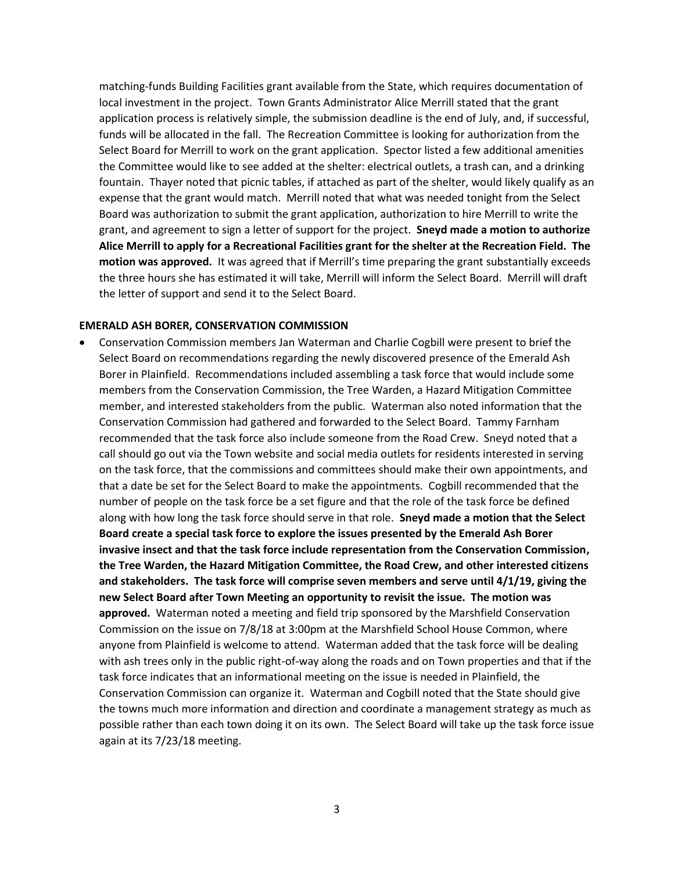matching-funds Building Facilities grant available from the State, which requires documentation of local investment in the project. Town Grants Administrator Alice Merrill stated that the grant application process is relatively simple, the submission deadline is the end of July, and, if successful, funds will be allocated in the fall. The Recreation Committee is looking for authorization from the Select Board for Merrill to work on the grant application. Spector listed a few additional amenities the Committee would like to see added at the shelter: electrical outlets, a trash can, and a drinking fountain. Thayer noted that picnic tables, if attached as part of the shelter, would likely qualify as an expense that the grant would match. Merrill noted that what was needed tonight from the Select Board was authorization to submit the grant application, authorization to hire Merrill to write the grant, and agreement to sign a letter of support for the project. **Sneyd made a motion to authorize Alice Merrill to apply for a Recreational Facilities grant for the shelter at the Recreation Field. The motion was approved.** It was agreed that if Merrill's time preparing the grant substantially exceeds the three hours she has estimated it will take, Merrill will inform the Select Board. Merrill will draft the letter of support and send it to the Select Board.

#### **EMERALD ASH BORER, CONSERVATION COMMISSION**

 Conservation Commission members Jan Waterman and Charlie Cogbill were present to brief the Select Board on recommendations regarding the newly discovered presence of the Emerald Ash Borer in Plainfield. Recommendations included assembling a task force that would include some members from the Conservation Commission, the Tree Warden, a Hazard Mitigation Committee member, and interested stakeholders from the public. Waterman also noted information that the Conservation Commission had gathered and forwarded to the Select Board. Tammy Farnham recommended that the task force also include someone from the Road Crew. Sneyd noted that a call should go out via the Town website and social media outlets for residents interested in serving on the task force, that the commissions and committees should make their own appointments, and that a date be set for the Select Board to make the appointments. Cogbill recommended that the number of people on the task force be a set figure and that the role of the task force be defined along with how long the task force should serve in that role. **Sneyd made a motion that the Select Board create a special task force to explore the issues presented by the Emerald Ash Borer invasive insect and that the task force include representation from the Conservation Commission, the Tree Warden, the Hazard Mitigation Committee, the Road Crew, and other interested citizens and stakeholders. The task force will comprise seven members and serve until 4/1/19, giving the new Select Board after Town Meeting an opportunity to revisit the issue. The motion was approved.** Waterman noted a meeting and field trip sponsored by the Marshfield Conservation Commission on the issue on 7/8/18 at 3:00pm at the Marshfield School House Common, where anyone from Plainfield is welcome to attend. Waterman added that the task force will be dealing with ash trees only in the public right-of-way along the roads and on Town properties and that if the task force indicates that an informational meeting on the issue is needed in Plainfield, the Conservation Commission can organize it. Waterman and Cogbill noted that the State should give the towns much more information and direction and coordinate a management strategy as much as possible rather than each town doing it on its own. The Select Board will take up the task force issue again at its 7/23/18 meeting.